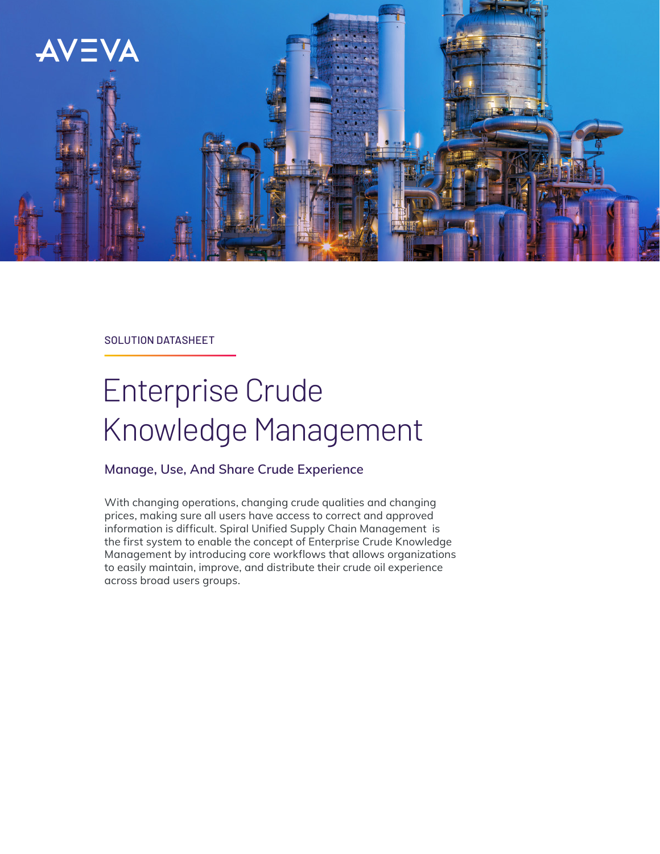

SOLUTION DATASHEET

# Enterprise Crude Knowledge Management

#### **Manage, Use, And Share Crude Experience**

With changing operations, changing crude qualities and changing prices, making sure all users have access to correct and approved information is difficult. Spiral Unified Supply Chain Management is the first system to enable the concept of Enterprise Crude Knowledge Management by introducing core workflows that allows organizations to easily maintain, improve, and distribute their crude oil experience across broad users groups.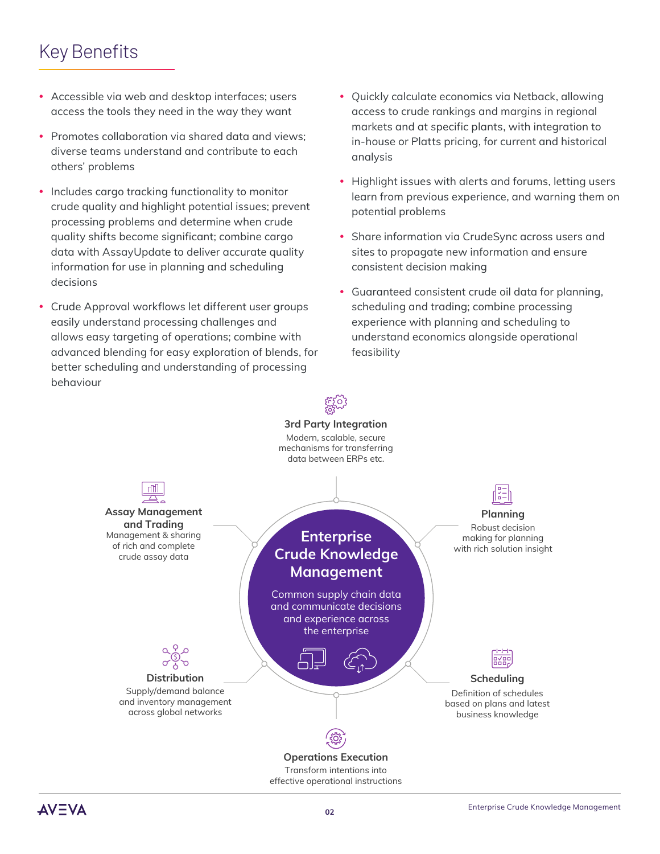## Key Benefits

- Accessible via web and desktop interfaces; users access the tools they need in the way they want
- Promotes collaboration via shared data and views: diverse teams understand and contribute to each others' problems
- Includes cargo tracking functionality to monitor crude quality and highlight potential issues; prevent processing problems and determine when crude quality shifts become significant; combine cargo data with AssayUpdate to deliver accurate quality information for use in planning and scheduling decisions
- Crude Approval workflows let different user groups easily understand processing challenges and allows easy targeting of operations; combine with advanced blending for easy exploration of blends, for better scheduling and understanding of processing behaviour
- Quickly calculate economics via Netback, allowing access to crude rankings and margins in regional markets and at specific plants, with integration to in-house or Platts pricing, for current and historical analysis
- Highlight issues with alerts and forums, letting users learn from previous experience, and warning them on potential problems
- Share information via CrudeSync across users and sites to propagate new information and ensure consistent decision making
- Guaranteed consistent crude oil data for planning, scheduling and trading; combine processing experience with planning and scheduling to understand economics alongside operational feasibility